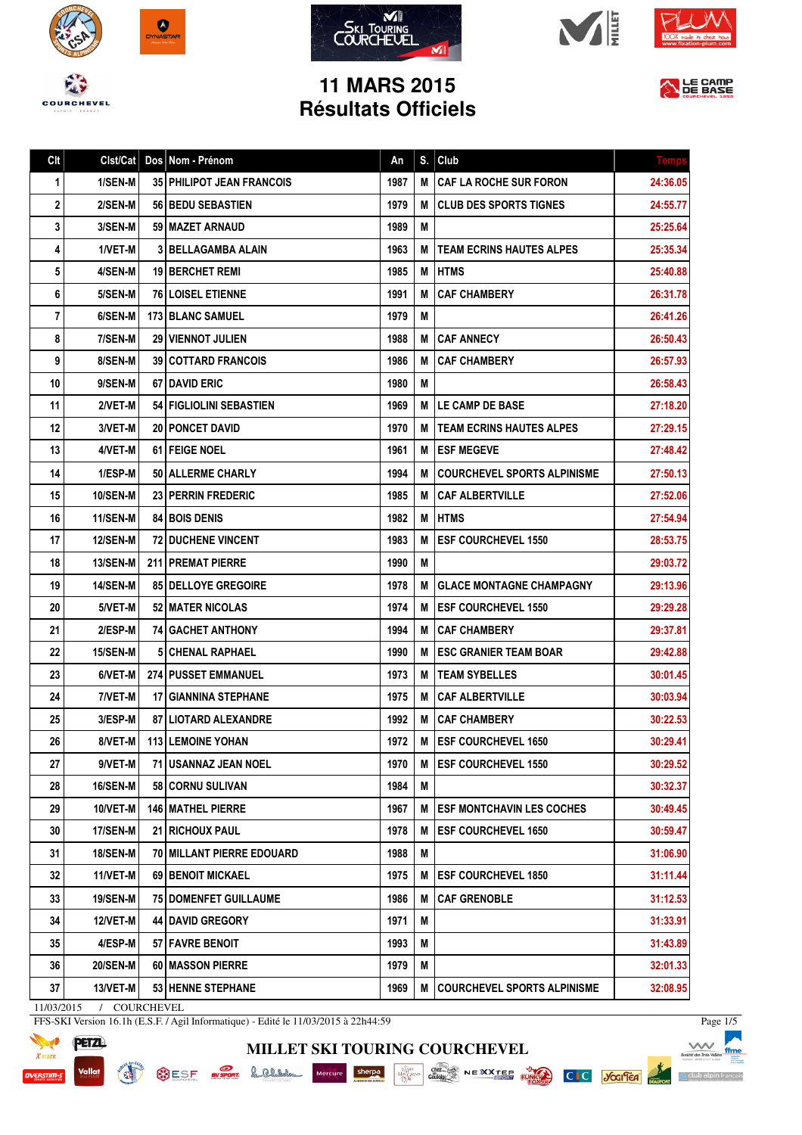









## **11 MARS 2015 Résultats Officiels**



| Clt | Clst/Cat        | Dos Nom - Prénom                   | An   | S. | Club                               | Temp     |
|-----|-----------------|------------------------------------|------|----|------------------------------------|----------|
| 1   | 1/SEN-M         | <b>35   PHILIPOT JEAN FRANCOIS</b> | 1987 | M  | <b>CAF LA ROCHE SUR FORON</b>      | 24:36.05 |
| 2   | 2/SEN-M         | <b>56   BEDU SEBASTIEN</b>         | 1979 | М  | <b>CLUB DES SPORTS TIGNES</b>      | 24:55.77 |
| 3   | 3/SEN-M         | 59   MAZET ARNAUD                  | 1989 | М  |                                    | 25:25.64 |
| 4   | 1/VET-M         | 3 BELLAGAMBA ALAIN                 | 1963 | М  | <b>TEAM ECRINS HAUTES ALPES</b>    | 25:35.34 |
| 5   | 4/SEN-M         | 19 BERCHET REMI                    | 1985 | М  | <b>HTMS</b>                        | 25:40.88 |
| 6   | 5/SEN-M         | <b>76 I LOISEL ETIENNE</b>         | 1991 | М  | <b>CAF CHAMBERY</b>                | 26:31.78 |
| 7   | 6/SEN-M         | <b>173 I BLANC SAMUEL</b>          | 1979 | М  |                                    | 26:41.26 |
| 8   | 7/SEN-M         | <b>29   VIENNOT JULIEN</b>         | 1988 | М  | <b>CAF ANNECY</b>                  | 26:50.43 |
| 9   | 8/SEN-M         | <b>39   COTTARD FRANCOIS</b>       | 1986 | М  | <b>CAF CHAMBERY</b>                | 26:57.93 |
| 10  | 9/SEN-M         | <b>67 I DAVID ERIC</b>             | 1980 | М  |                                    | 26:58.43 |
| 11  | 2/VET-M         | <b>54 FIGLIOLINI SEBASTIEN</b>     | 1969 | М  | LE CAMP DE BASE                    | 27:18.20 |
| 12  | 3/VET-M         | <b>20   PONCET DAVID</b>           | 1970 | М  | <b>TEAM ECRINS HAUTES ALPES</b>    | 27:29.15 |
| 13  | 4/VET-M         | 61 FEIGE NOEL                      | 1961 | М  | <b>ESF MEGEVE</b>                  | 27:48.42 |
| 14  | 1/ESP-M         | 50 ALLERME CHARLY                  | 1994 | М  | <b>COURCHEVEL SPORTS ALPINISME</b> | 27:50.13 |
| 15  | <b>10/SEN-M</b> | <b>23   PERRIN FREDERIC</b>        | 1985 | М  | <b>CAF ALBERTVILLE</b>             | 27:52.06 |
| 16  | 11/SEN-M        | <b>84 I BOIS DENIS</b>             | 1982 | M  | <b>HTMS</b>                        | 27:54.94 |
| 17  | <b>12/SEN-M</b> | <b>72 DUCHENE VINCENT</b>          | 1983 | М  | <b>ESF COURCHEVEL 1550</b>         | 28:53.75 |
| 18  | <b>13/SEN-M</b> | 211 PREMAT PIERRE                  | 1990 | М  |                                    | 29:03.72 |
| 19  | <b>14/SEN-M</b> | 85 DELLOYE GREGOIRE                | 1978 | М  | <b>GLACE MONTAGNE CHAMPAGNY</b>    | 29:13.96 |
| 20  | 5/VET-M         | <b>52 I MATER NICOLAS</b>          | 1974 | М  | <b>ESF COURCHEVEL 1550</b>         | 29:29.28 |
| 21  | 2/ESP-M         | <b>74 GACHET ANTHONY</b>           | 1994 | М  | <b>CAF CHAMBERY</b>                | 29:37.81 |
| 22  | <b>15/SEN-M</b> | <b>5 CHENAL RAPHAEL</b>            | 1990 | М  | <b>ESC GRANIER TEAM BOAR</b>       | 29:42.88 |
| 23  | 6/VET-M         | <b>274 PUSSET EMMANUEL</b>         | 1973 | М  | <b>TEAM SYBELLES</b>               | 30:01.45 |
| 24  | 7/VET-M         | <b>17 GIANNINA STEPHANE</b>        | 1975 | М  | <b>CAF ALBERTVILLE</b>             | 30:03.94 |
| 25  | 3/ESP-M         | <b>87   LIOTARD ALEXANDRE</b>      | 1992 | М  | <b>CAF CHAMBERY</b>                | 30:22.53 |
| 26  | 8/VET-M         | <b>113 LEMOINE YOHAN</b>           | 1972 | M  | <b>ESF COURCHEVEL 1650</b>         | 30:29.41 |
| 27  | 9/VET-M         | 71 USANNAZ JEAN NOEL               | 1970 | М  | <b>ESF COURCHEVEL 1550</b>         | 30:29.52 |
| 28  | <b>16/SEN-M</b> | 58 CORNU SULIVAN                   | 1984 | Μ  |                                    | 30:32.37 |
| 29  | 10/VET-M        | 146 MATHEL PIERRE                  | 1967 | М  | <b>ESF MONTCHAVIN LES COCHES</b>   | 30:49.45 |
| 30  | 17/SEN-M        | 21   RICHOUX PAUL                  | 1978 | М  | <b>ESF COURCHEVEL 1650</b>         | 30:59.47 |
| 31  | 18/SEN-M        | 70 MILLANT PIERRE EDOUARD          | 1988 | M  |                                    | 31:06.90 |
| 32  | 11/VET-M        | 69   BENOIT MICKAEL                | 1975 | Μ  | <b>IESF COURCHEVEL 1850</b>        | 31:11.44 |
| 33  | <b>19/SEN-M</b> | <b>75 DOMENFET GUILLAUME</b>       | 1986 | М  | <b>CAF GRENOBLE</b>                | 31:12.53 |
| 34  | 12/VET-M        | <b>44   DAVID GREGORY</b>          | 1971 | М  |                                    | 31:33.91 |
| 35  | 4/ESP-M         | 57 FAVRE BENOIT                    | 1993 | М  |                                    | 31:43.89 |
| 36  | <b>20/SEN-M</b> | 60 MASSON PIERRE                   | 1979 | M  |                                    | 32:01.33 |
| 37  | 13/VET-M        | <b>53 HENNE STEPHANE</b>           | 1969 | M  | <b>COURCHEVEL SPORTS ALPINISME</b> | 32:08.95 |

**MILLET SKI TOURING COURCHEVEL**

11/03/2015 / COURCHEVEL

**READ** 

FFS-SKI Version 16.1h (E.S.F. / Agil Informatique) - Edité le 11/03/2015 à 22h44:59



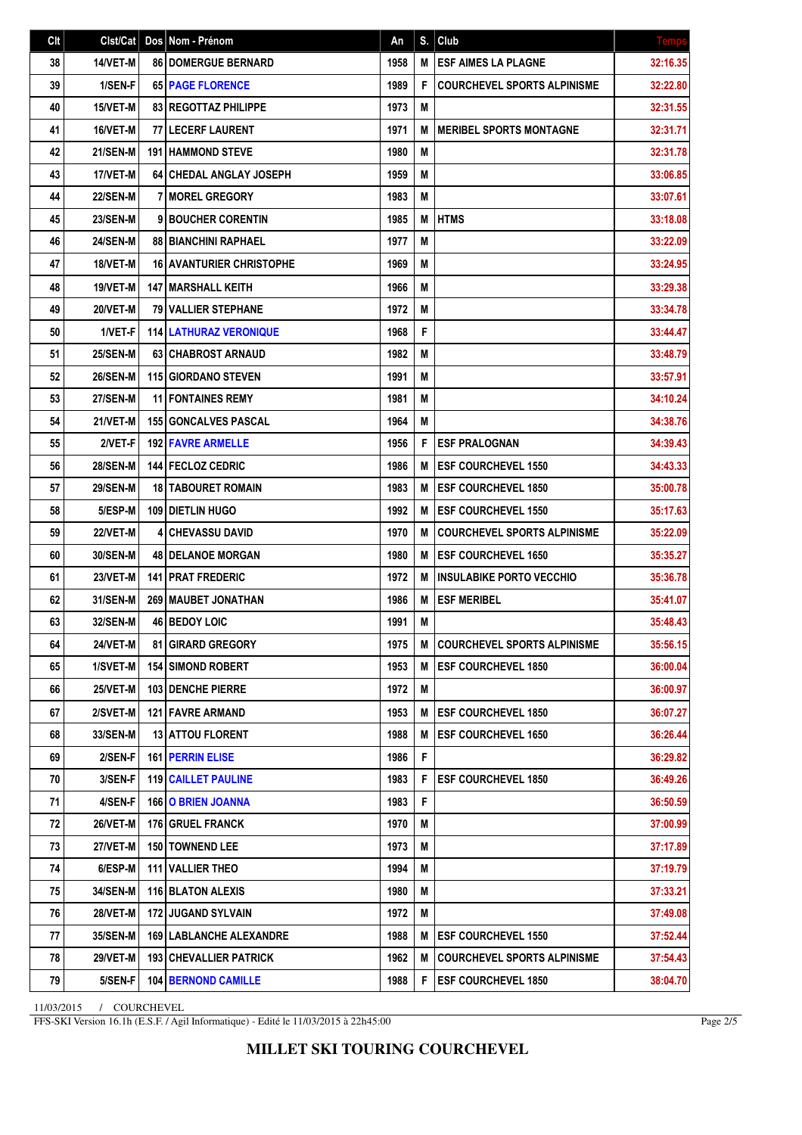| Clt | Clst/Cat        | Dos Nom - Prénom                | An   | S. | Club                               | <b>Temps</b> |
|-----|-----------------|---------------------------------|------|----|------------------------------------|--------------|
| 38  | 14/VET-M        | <b>86 DOMERGUE BERNARD</b>      | 1958 | M  | <b>ESF AIMES LA PLAGNE</b>         | 32:16.35     |
| 39  | 1/SEN-F         | <b>65 PAGE FLORENCE</b>         | 1989 | F  | <b>COURCHEVEL SPORTS ALPINISME</b> | 32:22.80     |
| 40  | 15/VET-M        | <b>83 REGOTTAZ PHILIPPE</b>     | 1973 | M  |                                    | 32:31.55     |
| 41  | 16/VET-M        | <b>77 LECERF LAURENT</b>        | 1971 | M  | <b>MERIBEL SPORTS MONTAGNE</b>     | 32:31.71     |
| 42  | <b>21/SEN-M</b> | <b>191 HAMMOND STEVE</b>        | 1980 | M  |                                    | 32:31.78     |
| 43  | 17/VET-M        | <b>64 CHEDAL ANGLAY JOSEPH</b>  | 1959 | M  |                                    | 33:06.85     |
| 44  | <b>22/SEN-M</b> | <b>7 I MOREL GREGORY</b>        | 1983 | M  |                                    | 33:07.61     |
| 45  | <b>23/SEN-M</b> | 9 BOUCHER CORENTIN              | 1985 | M  | <b>HTMS</b>                        | 33:18.08     |
| 46  | <b>24/SEN-M</b> | 88   BIANCHINI RAPHAEL          | 1977 | M  |                                    | 33:22.09     |
| 47  | 18/VET-M        | <b>16 AVANTURIER CHRISTOPHE</b> | 1969 | M  |                                    | 33:24.95     |
| 48  | 19/VET-M        | 147   MARSHALL KEITH            | 1966 | Μ  |                                    | 33:29.38     |
| 49  | 20/VET-M        | <b>79 VALLIER STEPHANE</b>      | 1972 | M  |                                    | 33:34.78     |
| 50  | 1/VET-F         | <b>114 LATHURAZ VERONIQUE</b>   | 1968 | F  |                                    | 33:44.47     |
| 51  | <b>25/SEN-M</b> | 63 CHABROST ARNAUD              | 1982 | M  |                                    | 33:48.79     |
| 52  | <b>26/SEN-M</b> | <b>115 GIORDANO STEVEN</b>      | 1991 | M  |                                    | 33:57.91     |
| 53  | <b>27/SEN-M</b> | <b>11 FONTAINES REMY</b>        | 1981 | M  |                                    | 34:10.24     |
| 54  | 21/VET-M        | <b>155 GONCALVES PASCAL</b>     | 1964 | M  |                                    | 34:38.76     |
| 55  | 2/VET-F         | <b>192 FAVRE ARMELLE</b>        | 1956 | F  | <b>ESF PRALOGNAN</b>               | 34:39.43     |
| 56  | <b>28/SEN-M</b> | <b>144 FECLOZ CEDRIC</b>        | 1986 | M  | <b>ESF COURCHEVEL 1550</b>         | 34:43.33     |
| 57  | <b>29/SEN-M</b> | <b>18 I TABOURET ROMAIN</b>     | 1983 | M  | <b>ESF COURCHEVEL 1850</b>         | 35:00.78     |
| 58  | 5/ESP-M         | <b>109 DIETLIN HUGO</b>         | 1992 | M  | <b>ESF COURCHEVEL 1550</b>         | 35:17.63     |
| 59  | 22/VET-M        | <b>4 CHEVASSU DAVID</b>         | 1970 | M  | <b>COURCHEVEL SPORTS ALPINISME</b> | 35:22.09     |
| 60  | 30/SEN-M        | <b>48   DELANOE MORGAN</b>      | 1980 | M  | <b>ESF COURCHEVEL 1650</b>         | 35:35.27     |
| 61  | 23/VET-M        | <b>141 PRAT FREDERIC</b>        | 1972 | M  | <b>INSULABIKE PORTO VECCHIO</b>    | 35:36.78     |
| 62  | 31/SEN-M        | <b>269 MAUBET JONATHAN</b>      | 1986 | M  | <b>ESF MERIBEL</b>                 | 35:41.07     |
| 63  | 32/SEN-M        | 46 BEDOY LOIC                   | 1991 | M  |                                    | 35:48.43     |
| 64  | 24/VET-M        | 81 GIRARD GREGORY               | 1975 | M  | <b>COURCHEVEL SPORTS ALPINISME</b> | 35:56.15     |
| 65  | 1/SVET-M        | <b>154 I SIMOND ROBERT</b>      | 1953 | М  | <b>ESF COURCHEVEL 1850</b>         | 36:00.04     |
| 66  | 25/VET-M        | 103 DENCHE PIERRE               | 1972 | M  |                                    | 36:00.97     |
| 67  | 2/SVET-M        | <b>121   FAVRE ARMAND</b>       | 1953 | M  | <b>ESF COURCHEVEL 1850</b>         | 36:07.27     |
| 68  | <b>33/SEN-M</b> | <b>13 ATTOU FLORENT</b>         | 1988 | M  | <b>ESF COURCHEVEL 1650</b>         | 36:26.44     |
| 69  | 2/SEN-F         | 161 PERRIN ELISE                | 1986 | F  |                                    | 36:29.82     |
| 70  | 3/SEN-F         | <b>119   CAILLET PAULINE</b>    | 1983 | F  | <b>ESF COURCHEVEL 1850</b>         | 36:49.26     |
| 71  | 4/SEN-F         | 166 O BRIEN JOANNA              | 1983 | F  |                                    | 36:50.59     |
| 72  | 26/VET-M        | 176 GRUEL FRANCK                | 1970 | M  |                                    | 37:00.99     |
| 73  | <b>27/VET-M</b> | 150 TOWNEND LEE                 | 1973 | M  |                                    | 37:17.89     |
| 74  | 6/ESP-M         | 111 VALLIER THEO                | 1994 | M  |                                    | 37:19.79     |
| 75  | 34/SEN-M        | 116 BLATON ALEXIS               | 1980 | M  |                                    | 37:33.21     |
| 76  | 28/VET-M        | 172 JUGAND SYLVAIN              | 1972 | M  |                                    | 37:49.08     |
| 77  | 35/SEN-M        | <b>169 LABLANCHE ALEXANDRE</b>  | 1988 | M  | <b>ESF COURCHEVEL 1550</b>         | 37:52.44     |
| 78  | <b>29/VET-M</b> | <b>193   CHEVALLIER PATRICK</b> | 1962 | M  | <b>COURCHEVEL SPORTS ALPINISME</b> | 37:54.43     |
| 79  | 5/SEN-F         | <b>104 BERNOND CAMILLE</b>      | 1988 | F  | <b>ESF COURCHEVEL 1850</b>         | 38:04.70     |

11/03/2015 / COURCHEVEL

FFS-SKI Version 16.1h (E.S.F. / Agil Informatique) - Edité le 11/03/2015 à 22h45:00

Page 2/5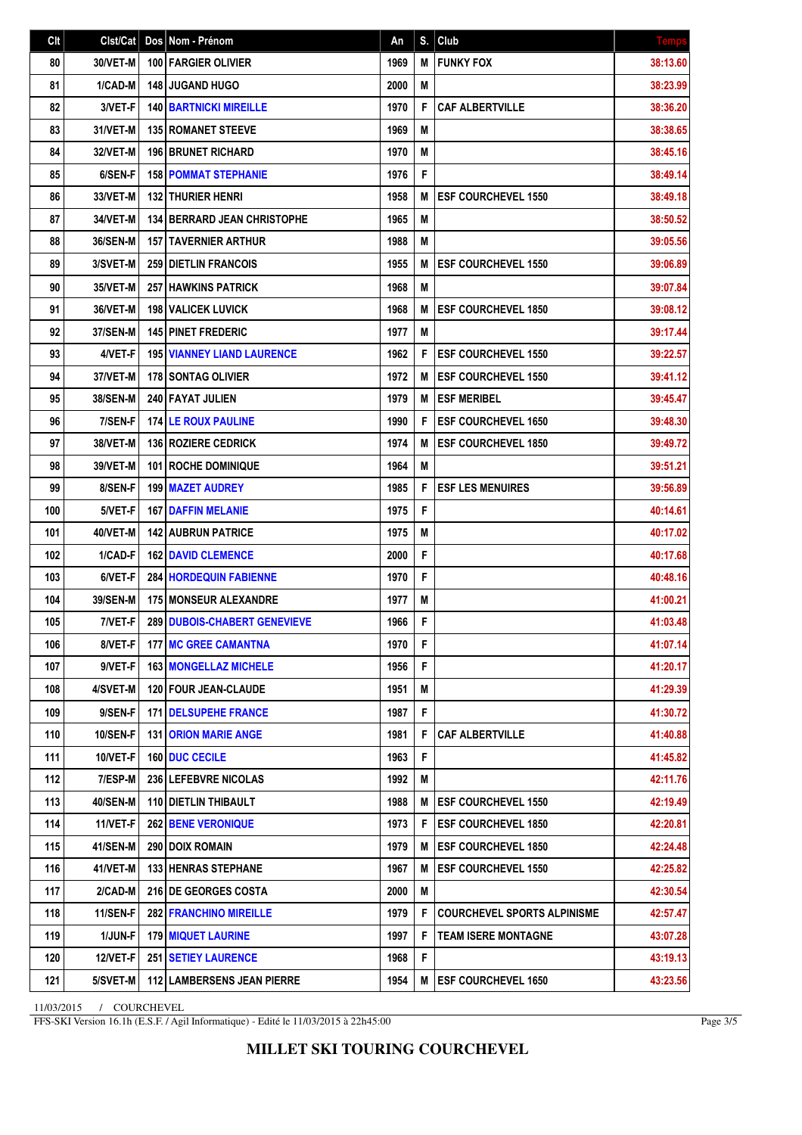| C <sub>it</sub> | Clst/Cat        | Dos Nom - Prénom                   | An   | S. | Club                               | <b>Temp:</b> |
|-----------------|-----------------|------------------------------------|------|----|------------------------------------|--------------|
| 80              | 30/VET-M        | 100 FARGIER OLIVIER                | 1969 | M  | <b>FUNKY FOX</b>                   | 38:13.60     |
| 81              | 1/CAD-M         | <b>148 JUGAND HUGO</b>             | 2000 | M  |                                    | 38:23.99     |
| 82              | 3/VET-F         | <b>140 BARTNICKI MIREILLE</b>      | 1970 | F  | <b>CAF ALBERTVILLE</b>             | 38:36.20     |
| 83              | 31/VET-M        | <b>135 ROMANET STEEVE</b>          | 1969 | M  |                                    | 38:38.65     |
| 84              | 32/VET-M        | <b>196 BRUNET RICHARD</b>          | 1970 | M  |                                    | 38:45.16     |
| 85              | 6/SEN-F         | <b>158 POMMAT STEPHANIE</b>        | 1976 | F  |                                    | 38:49.14     |
| 86              | 33/VET-M        | <b>132 THURIER HENRI</b>           | 1958 | M  | <b>ESF COURCHEVEL 1550</b>         | 38:49.18     |
| 87              | 34/VET-M        | <b>134 BERRARD JEAN CHRISTOPHE</b> | 1965 | М  |                                    | 38:50.52     |
| 88              | 36/SEN-M        | <b>157 TAVERNIER ARTHUR</b>        | 1988 | M  |                                    | 39:05.56     |
| 89              | 3/SVET-M        | <b>259 DIETLIN FRANCOIS</b>        | 1955 | M  | <b>ESF COURCHEVEL 1550</b>         | 39:06.89     |
| 90              | 35/VET-M        | <b>257 HAWKINS PATRICK</b>         | 1968 | M  |                                    | 39:07.84     |
| 91              | 36/VET-M        | <b>198 VALICEK LUVICK</b>          | 1968 | M  | <b>ESF COURCHEVEL 1850</b>         | 39:08.12     |
| 92              | 37/SEN-M        | <b>145 PINET FREDERIC</b>          | 1977 | M  |                                    | 39:17.44     |
| 93              | 4/VET-F         | <b>195 VIANNEY LIAND LAURENCE</b>  | 1962 | F  | <b>ESF COURCHEVEL 1550</b>         | 39:22.57     |
| 94              | 37/VET-M        | <b>178 SONTAG OLIVIER</b>          | 1972 | М  | <b>ESF COURCHEVEL 1550</b>         | 39:41.12     |
| 95              | <b>38/SEN-M</b> | 240 FAYAT JULIEN                   | 1979 | M  | <b>ESF MERIBEL</b>                 | 39:45.47     |
| 96              | 7/SEN-F         | <b>174 LE ROUX PAULINE</b>         | 1990 | F  | <b>ESF COURCHEVEL 1650</b>         | 39:48.30     |
| 97              | 38/VET-M        | 136 ROZIERE CEDRICK                | 1974 | M  | <b>ESF COURCHEVEL 1850</b>         | 39:49.72     |
| 98              | 39/VET-M        | 101 ROCHE DOMINIQUE                | 1964 | M  |                                    | 39:51.21     |
| 99              | 8/SEN-F         | 199 MAZET AUDREY                   | 1985 | F  | <b>ESF LES MENUIRES</b>            | 39:56.89     |
| 100             | 5/VET-F         | <b>167   DAFFIN MELANIE</b>        | 1975 | F  |                                    | 40:14.61     |
| 101             | 40/VET-M        | <b>142 AUBRUN PATRICE</b>          | 1975 | M  |                                    | 40:17.02     |
| 102             | 1/CAD-F         | <b>162 DAVID CLEMENCE</b>          | 2000 | F  |                                    | 40:17.68     |
| 103             | 6/VET-F         | <b>284 HORDEQUIN FABIENNE</b>      | 1970 | F  |                                    | 40:48.16     |
| 104             | 39/SEN-M        | 175 MONSEUR ALEXANDRE              | 1977 | M  |                                    | 41:00.21     |
| 105             | 7/VET-F         | 289 DUBOIS-CHABERT GENEVIEVE       | 1966 | F  |                                    | 41:03.48     |
| 106             | 8/VET-F         | <b>177   MC GREE CAMANTNA</b>      | 1970 | F  |                                    | 41:07.14     |
| 107             | 9/VET-F         | <b>163   MONGELLAZ MICHELE</b>     | 1956 | F  |                                    | 41:20.17     |
| 108             | 4/SVET-M        | <b>120 FOUR JEAN-CLAUDE</b>        | 1951 | M  |                                    | 41:29.39     |
| 109             | 9/SEN-F         | <b>171 DELSUPEHE FRANCE</b>        | 1987 | F  |                                    | 41:30.72     |
| 110             | <b>10/SEN-F</b> | <b>131   ORION MARIE ANGE</b>      | 1981 | F  | <b>CAF ALBERTVILLE</b>             | 41:40.88     |
| 111             | 10/VET-F        | <b>160 DUC CECILE</b>              | 1963 | F  |                                    | 41:45.82     |
| 112             | 7/ESP-M         | 236 LEFEBVRE NICOLAS               | 1992 | M  |                                    | 42:11.76     |
| 113             | 40/SEN-M        | 110 DIETLIN THIBAULT               | 1988 | M  | <b>ESF COURCHEVEL 1550</b>         | 42:19.49     |
| 114             | 11/VET-F        | <b>262 BENE VERONIQUE</b>          | 1973 | F  | <b>ESF COURCHEVEL 1850</b>         | 42:20.81     |
| 115             | 41/SEN-M        | 290   DOIX ROMAIN                  | 1979 | M  | <b>ESF COURCHEVEL 1850</b>         | 42:24.48     |
| 116             | 41/VET-M        | <b>133 HENRAS STEPHANE</b>         | 1967 | M  | <b>ESF COURCHEVEL 1550</b>         | 42:25.82     |
| 117             | 2/CAD-M         | 216 DE GEORGES COSTA               | 2000 | Μ  |                                    | 42:30.54     |
| 118             | 11/SEN-F        | <b>282 FRANCHINO MIREILLE</b>      | 1979 | F  | <b>COURCHEVEL SPORTS ALPINISME</b> | 42:57.47     |
| 119             | 1/JUN-F         | <b>179 MIQUET LAURINE</b>          | 1997 | F  | <b>TEAM ISERE MONTAGNE</b>         | 43:07.28     |
| 120             | <b>12/VET-F</b> | <b>251   SETIEY LAURENCE</b>       | 1968 | F  |                                    | 43:19.13     |
| 121             | 5/SVET-M        | <b>112 LAMBERSENS JEAN PIERRE</b>  | 1954 | M  | <b>ESF COURCHEVEL 1650</b>         | 43:23.56     |

11/03/2015 / COURCHEVEL

FFS-SKI Version 16.1h (E.S.F. / Agil Informatique) - Edité le 11/03/2015 à 22h45:00

Page 3/5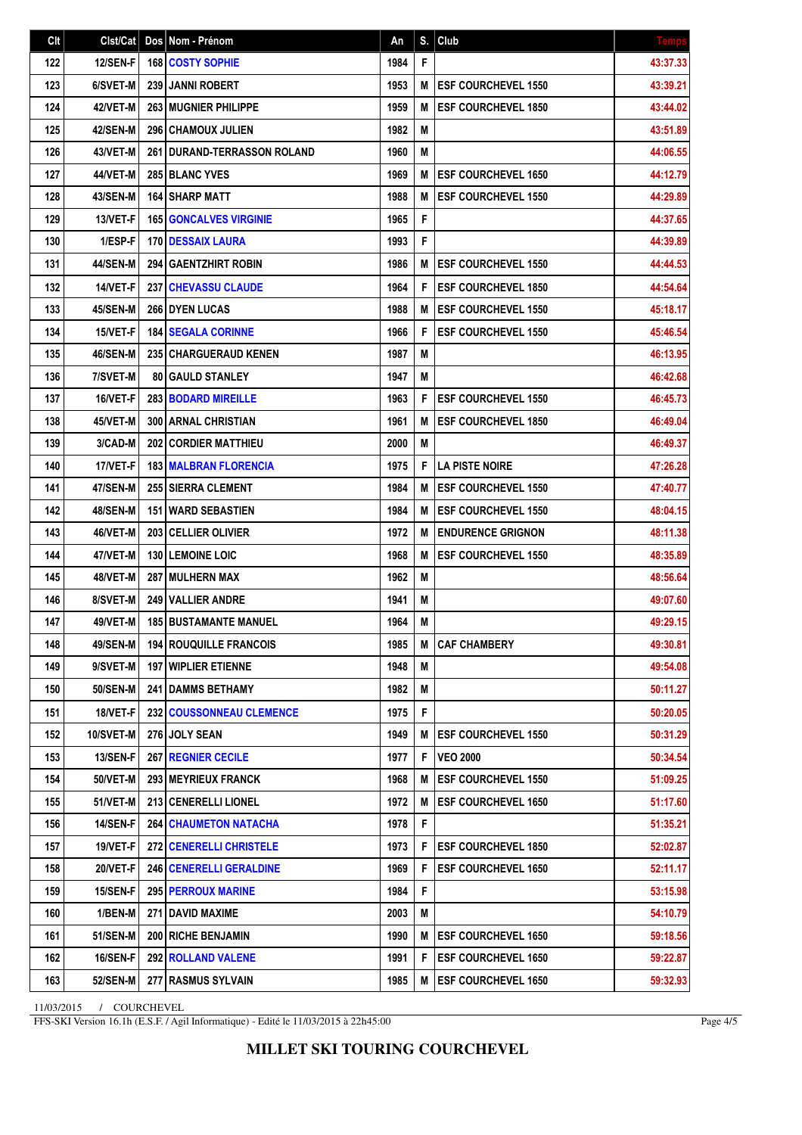| Clt | Clst/Cat        | Dos Nom - Prénom                  | An   | S. | Club                       | <b>Temps</b> |
|-----|-----------------|-----------------------------------|------|----|----------------------------|--------------|
| 122 | 12/SEN-F        | 168 COSTY SOPHIE                  | 1984 | F  |                            | 43:37.33     |
| 123 | 6/SVET-M        | <b>239 JANNI ROBERT</b>           | 1953 | M  | <b>ESF COURCHEVEL 1550</b> | 43:39.21     |
| 124 | 42/VET-M        | 263 MUGNIER PHILIPPE              | 1959 | M  | <b>ESF COURCHEVEL 1850</b> | 43:44.02     |
| 125 | 42/SEN-M        | 296 CHAMOUX JULIEN                | 1982 | M  |                            | 43:51.89     |
| 126 | 43/VET-M        | 261   DURAND-TERRASSON ROLAND     | 1960 | M  |                            | 44:06.55     |
| 127 | 44/VET-M        | <b>285 BLANC YVES</b>             | 1969 | M  | <b>ESF COURCHEVEL 1650</b> | 44:12.79     |
| 128 | <b>43/SEN-M</b> | <b>164 SHARP MATT</b>             | 1988 | M  | <b>ESF COURCHEVEL 1550</b> | 44:29.89     |
| 129 | 13/VET-F        | <b>165 GONCALVES VIRGINIE</b>     | 1965 | F  |                            | 44:37.65     |
| 130 | 1/ESP-F         | 170   DESSAIX LAURA               | 1993 | F  |                            | 44:39.89     |
| 131 | <b>44/SEN-M</b> | <b>294 GAENTZHIRT ROBIN</b>       | 1986 | M  | <b>ESF COURCHEVEL 1550</b> | 44:44.53     |
| 132 | 14/VET-F        | 237 CHEVASSU CLAUDE               | 1964 | F  | <b>ESF COURCHEVEL 1850</b> | 44:54.64     |
| 133 | 45/SEN-M        | 266 DYEN LUCAS                    | 1988 | M  | <b>ESF COURCHEVEL 1550</b> | 45:18.17     |
| 134 | 15/VET-F        | <b>184 SEGALA CORINNE</b>         | 1966 | F  | <b>ESF COURCHEVEL 1550</b> | 45:46.54     |
| 135 | 46/SEN-M        | 235 CHARGUERAUD KENEN             | 1987 | M  |                            | 46:13.95     |
| 136 | 7/SVET-M        | <b>80 GAULD STANLEY</b>           | 1947 | M  |                            | 46:42.68     |
| 137 | 16/VET-F        | 283 BODARD MIREILLE               | 1963 | F  | <b>ESF COURCHEVEL 1550</b> | 46:45.73     |
| 138 | 45/VET-M        | <b>300   ARNAL CHRISTIAN</b>      | 1961 | M  | <b>ESF COURCHEVEL 1850</b> | 46:49.04     |
| 139 | 3/CAD-M         | 202 CORDIER MATTHIEU              | 2000 | M  |                            | 46:49.37     |
| 140 | 17/VET-F        | <b>183   MALBRAN FLORENCIA</b>    | 1975 | F  | <b>LA PISTE NOIRE</b>      | 47:26.28     |
| 141 | 47/SEN-M        | 255 SIERRA CLEMENT                | 1984 | M  | <b>ESF COURCHEVEL 1550</b> | 47:40.77     |
| 142 | <b>48/SEN-M</b> | <b>151 WARD SEBASTIEN</b>         | 1984 | M  | <b>ESF COURCHEVEL 1550</b> | 48:04.15     |
| 143 | 46/VET-M        | 203 CELLIER OLIVIER               | 1972 | M  | <b>ENDURENCE GRIGNON</b>   | 48:11.38     |
| 144 | 47/VET-M        | <b>130 LEMOINE LOIC</b>           | 1968 | M  | <b>ESF COURCHEVEL 1550</b> | 48:35.89     |
| 145 | 48/VET-M        | 287 MULHERN MAX                   | 1962 | M  |                            | 48:56.64     |
| 146 | 8/SVET-M        | <b>249 VALLIER ANDRE</b>          | 1941 | M  |                            | 49:07.60     |
| 147 | 49/VET-M        | <b>185 BUSTAMANTE MANUEL</b>      | 1964 | M  |                            | 49:29.15     |
| 148 | 49/SEN-M        | <b>194 ROUQUILLE FRANCOIS</b>     | 1985 | Μ  | <b>CAF CHAMBERY</b>        | 49:30.81     |
| 149 | 9/SVET-M        | <b>197   WIPLIER ETIENNE</b>      | 1948 | M  |                            | 49:54.08     |
| 150 | 50/SEN-M        | 241 DAMMS BETHAMY                 | 1982 | M  |                            | 50:11.27     |
| 151 | 18/VET-F        | <b>232   COUSSONNEAU CLEMENCE</b> | 1975 | F  |                            | 50:20.05     |
| 152 | 10/SVET-M       | 276 JOLY SEAN                     | 1949 | Μ  | <b>ESF COURCHEVEL 1550</b> | 50:31.29     |
| 153 | <b>13/SEN-F</b> | <b>267 REGNIER CECILE</b>         | 1977 | F  | <b>VEO 2000</b>            | 50:34.54     |
| 154 | 50/VET-M        | 293   MEYRIEUX FRANCK             | 1968 | M  | <b>ESF COURCHEVEL 1550</b> | 51:09.25     |
| 155 | <b>51/VET-M</b> | 213   CENERELLI LIONEL            | 1972 | M  | <b>ESF COURCHEVEL 1650</b> | 51:17.60     |
| 156 | 14/SEN-F        | <b>264 CHAUMETON NATACHA</b>      | 1978 | F  |                            | 51:35.21     |
| 157 | 19/VET-F        | 272 CENERELLI CHRISTELE           | 1973 | F  | <b>ESF COURCHEVEL 1850</b> | 52:02.87     |
| 158 | <b>20/VET-F</b> | <b>246   CENERELLI GERALDINE</b>  | 1969 | F  | <b>ESF COURCHEVEL 1650</b> | 52:11.17     |
| 159 | 15/SEN-F        | <b>295   PERROUX MARINE</b>       | 1984 | F  |                            | 53:15.98     |
| 160 | 1/BEN-M         | 271 DAVID MAXIME                  | 2003 | M  |                            | 54:10.79     |
| 161 | <b>51/SEN-M</b> | <b>200 RICHE BENJAMIN</b>         | 1990 | M  | <b>ESF COURCHEVEL 1650</b> | 59:18.56     |
| 162 | <b>16/SEN-F</b> | 292 ROLLAND VALENE                | 1991 | F  | <b>ESF COURCHEVEL 1650</b> | 59:22.87     |
| 163 | 52/SEN-M        | 277 RASMUS SYLVAIN                | 1985 | M  | <b>ESF COURCHEVEL 1650</b> | 59:32.93     |

11/03/2015 / COURCHEVEL

FFS-SKI Version 16.1h (E.S.F. / Agil Informatique) - Edité le 11/03/2015 à 22h45:00

Page 4/5